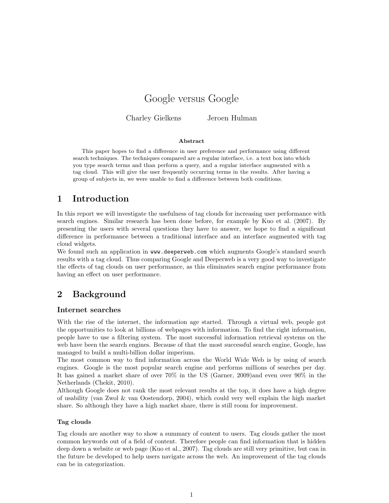# Google versus Google

Charley Gielkens Jeroen Hulman

#### Abstract

This paper hopes to find a difference in user preference and performance using different search techniques. The techniques compared are a regular interface, i.e. a text box into which you type search terms and than perform a query, and a regular interface augmented with a tag cloud. This will give the user frequently occurring terms in the results. After having a group of subjects in, we were unable to find a difference between both conditions.

## 1 Introduction

In this report we will investigate the usefulness of tag clouds for increasing user performance with search engines. Similar research has been done before, for example by Kuo et al. (2007). By presenting the users with several questions they have to answer, we hope to find a significant difference in performance between a traditional interface and an interface augmented with tag cloud widgets.

We found such an application in www.deeperweb.com which augments Google's standard search results with a tag cloud. Thus comparing Google and Deeperweb is a very good way to investigate the effects of tag clouds on user performance, as this eliminates search engine performance from having an effect on user performance.

# 2 Background

## Internet searches

With the rise of the internet, the information age started. Through a virtual web, people got the opportunities to look at billions of webpages with information. To find the right information, people have to use a filtering system. The most successful information retrieval systems on the web have been the search engines. Because of that the most successful search engine, Google, has managed to build a multi-billion dollar imperium.

The most common way to find information across the World Wide Web is by using of search engines. Google is the most popular search engine and performs millions of searches per day. It has gained a market share of over 70% in the US (Garner, 2009)and even over 90% in the Netherlands (Chekit, 2010).

Although Google does not rank the most relevant results at the top, it does have a high degree of usability (van Zwol  $\&$  van Oostendorp, 2004), which could very well explain the high market share. So although they have a high market share, there is still room for improvement.

#### Tag clouds

Tag clouds are another way to show a summary of content to users. Tag clouds gather the most common keywords out of a field of content. Therefore people can find information that is hidden deep down a website or web page (Kuo et al., 2007). Tag clouds are still very primitive, but can in the future be developed to help users navigate across the web. An improvement of the tag clouds can be in categorization.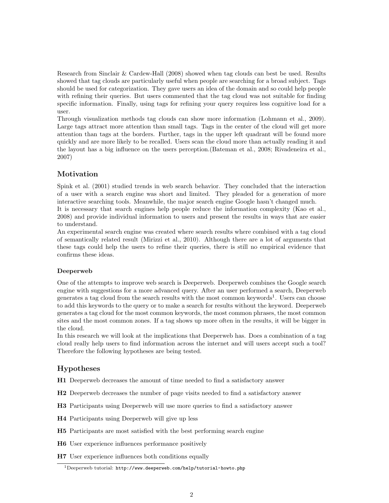Research from Sinclair & Cardew-Hall (2008) showed when tag clouds can best be used. Results showed that tag clouds are particularly useful when people are searching for a broad subject. Tags should be used for categorization. They gave users an idea of the domain and so could help people with refining their queries. But users commented that the tag cloud was not suitable for finding specific information. Finally, using tags for refining your query requires less cognitive load for a user.

Through visualization methods tag clouds can show more information (Lohmann et al., 2009). Large tags attract more attention than small tags. Tags in the center of the cloud will get more attention than tags at the borders. Further, tags in the upper left quadrant will be found more quickly and are more likely to be recalled. Users scan the cloud more than actually reading it and the layout has a big influence on the users perception.(Bateman et al., 2008; Rivadeneira et al., 2007)

## Motivation

Spink et al. (2001) studied trends in web search behavior. They concluded that the interaction of a user with a search engine was short and limited. They pleaded for a generation of more interactive searching tools. Meanwhile, the major search engine Google hasn't changed much.

It is necessary that search engines help people reduce the information complexity (Kao et al., 2008) and provide individual information to users and present the results in ways that are easier to understand.

An experimental search engine was created where search results where combined with a tag cloud of semantically related result (Mirizzi et al., 2010). Although there are a lot of arguments that these tags could help the users to refine their queries, there is still no empirical evidence that confirms these ideas.

#### Deeperweb

One of the attempts to improve web search is Deeperweb. Deeperweb combines the Google search engine with suggestions for a more advanced query. After an user performed a search, Deeperweb generates a tag cloud from the search results with the most common keywords<sup>1</sup>. Users can choose to add this keywords to the query or to make a search for results without the keyword. Deeperweb generates a tag cloud for the most common keywords, the most common phrases, the most common sites and the most common zones. If a tag shows up more often in the results, it will be bigger in the cloud.

In this research we will look at the implications that Deeperweb has. Does a combination of a tag cloud really help users to find information across the internet and will users accept such a tool? Therefore the following hypotheses are being tested.

#### Hypotheses

H1 Deeperweb decreases the amount of time needed to find a satisfactory answer

- H2 Deeperweb decreases the number of page visits needed to find a satisfactory answer
- H3 Participants using Deeperweb will use more queries to find a satisfactory answer
- H4 Participants using Deeperweb will give up less
- H5 Participants are most satisfied with the best performing search engine
- H6 User experience influences performance positively
- H7 User experience influences both conditions equally

 $1$ Deeperweb tutorial: http://www.deeperweb.com/help/tutorial-howto.php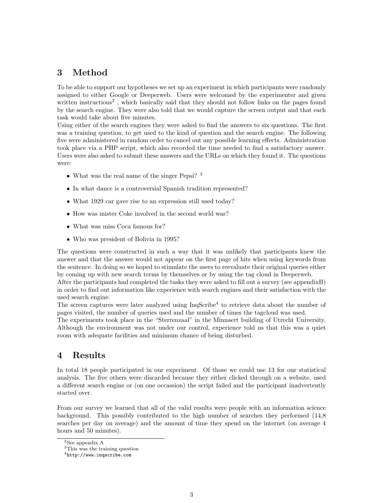## 3 Method

To be able to support our hypotheses we set up an experiment in which participants were randomly assigned to either Google or Deeperweb. Users were welcomed by the experimenter and given written instructions<sup>2</sup>, which basically said that they should not follow links on the pages found by the search engine. They were also told that we would capture the screen output and that each task would take about five minutes.

Using either of the search engines they were asked to find the answers to six questions. The first was a training question, to get used to the kind of question and the search engine. The following five were administered in random order to cancel out any possible learning effects. Administration took place via a PHP script, which also recorded the time needed to find a satisfactory answer. Users were also asked to submit these answers and the URLs on which they found it. The questions were:

- What was the real name of the singer Pepsi? <sup>3</sup>
- In what dance is a controversial Spanish tradition represented?
- What 1929 car gave rise to an expression still used today?
- How was mister Coke involved in the second world war?
- What was miss Coca famous for?
- Who was president of Bolivia in 1995?

The questions were constructed in such a way that it was unlikely that participants knew the answer and that the answer would not appear on the first page of hits when using keywords from the sentence. In doing so we hoped to stimulate the users to reevaluate their original queries either by coming up with new search terms by themselves or by using the tag cloud in Deeperweb.

After the participants had completed the tasks they were asked to fill out a survey (see appendixB) in order to find out information like experience with search engines and their satisfaction with the used search engine.

The screen captures were later analyzed using InqScribe<sup>4</sup> to retrieve data about the number of pages visited, the number of queries used and the number of times the tagcloud was used.

The experiments took place in the "Sterrenzaal" in the Minnaert building of Utrecht University. Although the environment was not under our control, experience told us that this was a quiet room with adequate facilities and minimum chance of being disturbed.

# 4 Results

In total 18 people participated in our experiment. Of those we could use 13 for our statistical analysis. The five others were discarded because they either clicked through on a website, used a different search engine or (on one occassion) the script failed and the participant inadvertently started over.

From our survey we learned that all of the valid results were people with an information science background. This possibly contributed to the high number of searches they performed (14,8 searches per day on average) and the amount of time they spend on the internet (on average 4 hours and 50 minutes).

<sup>2</sup>See appendix A

<sup>3</sup>This was the training question

<sup>4</sup>http://www.inqscribe.com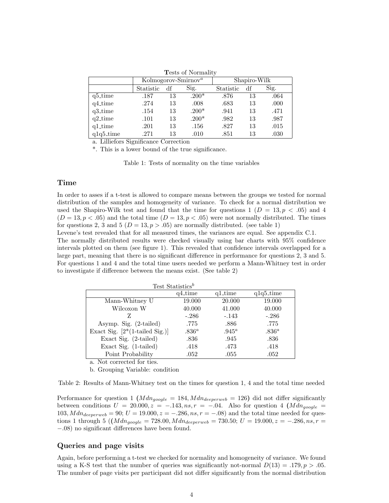| $\sim$ 0000 01 101110110 |                         |    |         |              |    |      |  |  |  |
|--------------------------|-------------------------|----|---------|--------------|----|------|--|--|--|
|                          | Kolmogorov-Smirnov $^a$ |    |         | Shapiro-Wilk |    |      |  |  |  |
|                          | Statistic               | df | Sig.    | Statistic    | df | Sig. |  |  |  |
| $q5_time$                | .187                    | 13 | $.200*$ | .876         | 13 | .064 |  |  |  |
| q4_time                  | .274                    | 13 | .008    | .683         | 13 | .000 |  |  |  |
| q3_time                  | .154                    | 13 | $.200*$ | .941         | 13 | .471 |  |  |  |
| $q2_time$                | .101                    | 13 | $.200*$ | .982         | 13 | .987 |  |  |  |
| $q1_time$                | .201                    | 13 | .156    | .827         | 13 | .015 |  |  |  |
| $q1q5_time$              | .271                    | 13 | .010    | .851         | 13 | .030 |  |  |  |

Tests of Normality

a. Lilliefors Significance Correction

\*. This is a lower bound of the true significance.

Table 1: Tests of normality on the time variables

#### Time

In order to asses if a t-test is allowed to compare means between the groups we tested for normal distribution of the samples and homogeneity of variance. To check for a normal distribution we used the Shapiro-Wilk test and found that the time for questions 1 ( $D = 13, p < .05$ ) and 4  $(D = 13, p < .05)$  and the total time  $(D = 13, p < .05)$  were not normally distributed. The times for questions 2, 3 and 5 ( $D = 13, p > .05$ ) are normally distributed. (see table 1)

Levene's test revealed that for all measured times, the variances are equal. See appendix C.1.

The normally distributed results were checked visually using bar charts with 95% confidence intervals plotted on them (see figure 1). This revealed that confidence intervals overlapped for a large part, meaning that there is no significant difference in performance for questions 2, 3 and 5. For questions 1 and 4 and the total time users needed we perform a Mann-Whitney test in order to investigate if difference between the means exist. (See table 2)

| Test Statistics <sup>b</sup>     |           |          |             |  |  |  |
|----------------------------------|-----------|----------|-------------|--|--|--|
|                                  | q4_time   | q1_time  | $q1q5_time$ |  |  |  |
| Mann-Whitney U                   | 19.000    | 20.000   | 19.000      |  |  |  |
| Wilcoxon W                       | 40.000    | 41.000   | 40.000      |  |  |  |
| Z                                | $-.286$   | $-.143$  | $-.286$     |  |  |  |
| Asymp. Sig. $(2$ -tailed)        | .775      | .886     | .775        |  |  |  |
| Exact Sig. $[2*(1-tailed Sig.)]$ | $0.836^a$ | $.945^a$ | $0.836^a$   |  |  |  |
| Exact Sig. $(2-tailed)$          | .836      | .945     | .836        |  |  |  |
| Exact Sig. (1-tailed)            | .418      | .473     | .418        |  |  |  |
| Point Probability                | .052      | .055     | .052        |  |  |  |

a. Not corrected for ties.

b. Grouping Variable: condition

Table 2: Results of Mann-Whitney test on the times for question 1, 4 and the total time needed

Performance for question 1 ( $Mdn_{goodle} = 184, Mdn_{deeperweb} = 126$ ) did not differ significantly between conditions  $U = 20.000, z = -.143, ns, r = -.04$ . Also for question 4  $(Md n_{gogle} =$  $103, Mdn_{deeperweb} = 90; U = 19.000, z = -.286, ns, r = -.08)$  and the total time needed for questions 1 through 5 ( $(Mdn_{google} = 728.00, Mdn_{deeperweb} = 730.50; U = 19.000, z = -.286, ns, r =$ −.08) no significant differences have been found.

#### Queries and page visits

Again, before performing a t-test we checked for normality and homogeneity of variance. We found using a K-S test that the number of queries was significantly not-normal  $D(13) = .179, p > .05$ . The number of page visits per participant did not differ significantly from the normal distribution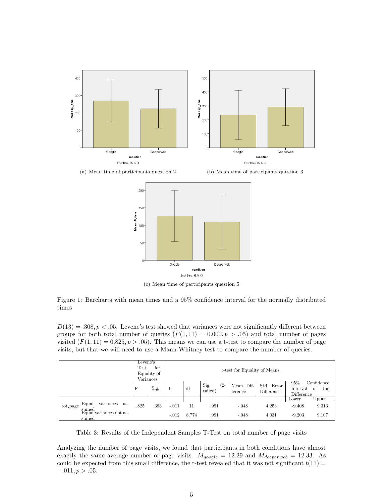

(c) Mean time of participants question 5

Figure 1: Barcharts with mean times and a 95% confidence interval for the normally distributed times

 $D(13) = .308, p < .05$ . Levene's test showed that variances were not significantly different between groups for both total number of queries  $(F(1, 11) = 0.000, p > .05)$  and total number of pages visited  $(F(1, 11) = 0.825, p > .05)$ . This means we can use a t-test to compare the number of page visits, but that we will need to use a Mann-Whitney test to compare the number of queries.

|                                           | Levene's<br>Test<br>Variances | for<br>Equality of |         |       |                           | t-test for Equality of Means |                          |                                      |                         |
|-------------------------------------------|-------------------------------|--------------------|---------|-------|---------------------------|------------------------------|--------------------------|--------------------------------------|-------------------------|
|                                           | F                             | Sig.               | v       | df    | $(2 -$<br>Sig.<br>tailed) | Mean Dif-<br>ference         | Std. Error<br>Difference | 95%<br>Interval<br><b>Difference</b> | Confidence<br>of<br>the |
|                                           |                               |                    |         |       |                           |                              |                          | Lower                                | Upper                   |
| Equal<br>variances<br>as-<br>tot_page     | .825                          | .383               | $-.011$ | 11    | .991                      | $-.048$                      | 4.253                    | $-9.408$                             | 9.313                   |
| sumed<br>Equal variances not as-<br>sumed |                               |                    | $-.012$ | 8.774 | .991                      | $-.048$                      | 4.031                    | $-9.203$                             | 9.107                   |

Table 3: Results of the Independent Samples T-Test on total number of page visits

Analyzing the number of page visits, we found that participants in both conditions have almost exactly the same average number of page visits.  $M_{google} = 12.29$  and  $M_{deeperweb} = 12.33$ . As could be expected from this small difference, the t-test revealed that it was not significant  $t(11)$  =  $-.011, p > .05.$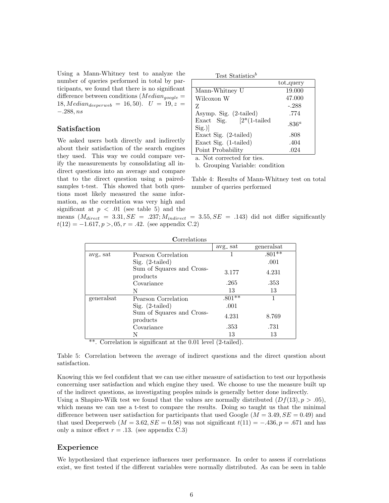Using a Mann-Whitney test to analyze the number of queries performed in total by participants, we found that there is no significant difference between conditions ( $Median_{google}$  = 18, Median<sub>deeperweb</sub> = 16, 50).  $U = 19, z =$ −.288, ns

#### Satisfaction

We asked users both directly and indirectly about their satisfaction of the search engines they used. This way we could compare verify the measurements by consolidating all indirect questions into an average and compare that to the direct question using a pairedsamples t-test. This showed that both questions most likely measured the same information, as the correlation was very high and significant at  $p < .01$  (see table 5) and the

|  | Test Statistics <sup>b</sup> |
|--|------------------------------|
|--|------------------------------|

|                           | tot_query |
|---------------------------|-----------|
| Mann-Whitney U            | 19.000    |
| Wilcoxon W                | 47.000    |
| Z                         | $-.288$   |
| Asymp. Sig. (2-tailed)    | .774      |
| Exact Sig. $[2*(1-tailed$ | $0.836^a$ |
| $Sig.$ )                  |           |
| Exact Sig. (2-tailed)     | .808      |
| Exact Sig. (1-tailed)     | .404      |
| Point Probability         | .024      |

a. Not corrected for ties.

b. Grouping Variable: condition

Table 4: Results of Mann-Whitney test on total number of queries performed

means  $(M_{direct} = 3.31, SE = .237; M_{indirect} = 3.55, SE = .143)$  did not differ significantly  $t(12) = -1.617, p > 0.05, r = .42.$  (see appendix C.2)

| Correlations                                   |                                       |                     |            |  |  |  |
|------------------------------------------------|---------------------------------------|---------------------|------------|--|--|--|
|                                                |                                       | avg <sub>-sat</sub> | generalsat |  |  |  |
| avg <sub>-sat</sub>                            | Pearson Correlation                   |                     | $.801**$   |  |  |  |
|                                                | $Sig.$ (2-tailed)                     |                     | .001       |  |  |  |
|                                                | Sum of Squares and Cross-<br>products | 3.177               | 4.231      |  |  |  |
|                                                | Covariance                            | .265                | .353       |  |  |  |
|                                                | N                                     | 13                  | 13         |  |  |  |
| generalsat                                     | Pearson Correlation                   | $.801**$            |            |  |  |  |
|                                                | $Sig. (2-tailed)$                     | .001                |            |  |  |  |
|                                                | Sum of Squares and Cross-<br>products | 4.231               | 8.769      |  |  |  |
|                                                | Covariance                            | .353                | .731       |  |  |  |
| ملہ ملہ<br>$\sim$<br>$\mathbf{1}$ $\mathbf{1}$ | N<br>$\cdot$ $\circ$                  | 13<br>$1 / 2 + 11$  | 13         |  |  |  |

\*\*. Correlation is significant at the 0.01 level (2-tailed).

Table 5: Correlation between the average of indirect questions and the direct question about satisfaction.

Knowing this we feel confident that we can use either measure of satisfaction to test our hypothesis concerning user satisfaction and which engine they used. We choose to use the measure built up of the indirect questions, as investigating peoples minds is generally better done indirectly.

Using a Shapiro-Wilk test we found that the values are normally distributed  $(Df(13), p > .05)$ , which means we can use a t-test to compare the results. Doing so taught us that the minimal difference between user satisfaction for participants that used Google  $(M = 3.49, SE = 0.49)$  and that used Deeperweb ( $M = 3.62, SE = 0.58$ ) was not significant  $t(11) = -.436, p = .671$  and has only a minor effect  $r = .13$ . (see appendix C.3)

#### Experience

We hypothesized that experience influences user performance. In order to assess if correlations exist, we first tested if the different variables were normally distributed. As can be seen in table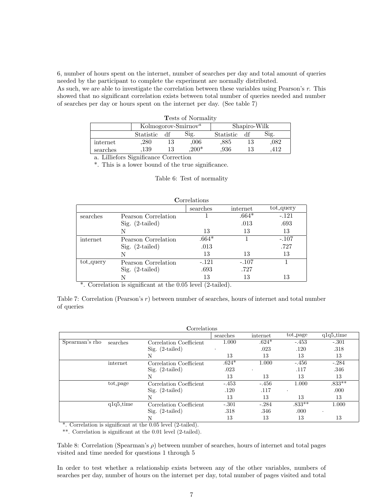6, number of hours spent on the internet, number of searches per day and total amount of queries needed by the participant to complete the experiment are normally distributed.

As such, we are able to investigate the correlation between these variables using Pearson's r. This showed that no significant correlation exists between total number of queries needed and number of searches per day or hours spent on the internet per day. (See table 7)

| <b>Tests of Normality</b> |           |                                 |        |           |              |      |  |  |
|---------------------------|-----------|---------------------------------|--------|-----------|--------------|------|--|--|
|                           |           | Kolmogorov-Smirnov <sup>a</sup> |        |           | Shapiro-Wilk |      |  |  |
|                           | Statistic |                                 | Sig.   | Statistic |              | Sig. |  |  |
| internet                  | 280       | 13                              | .006   | .885      | 13           | 082  |  |  |
| searches                  | .139      | 13                              | $200*$ | ,936      |              | 412  |  |  |

a. Lilliefors Significance Correction

\*. This is a lower bound of the true significance.

#### Table 6: Test of normality

| Correlations |                                   |         |         |         |  |  |  |  |  |  |
|--------------|-----------------------------------|---------|---------|---------|--|--|--|--|--|--|
|              | tot_query<br>internet<br>searches |         |         |         |  |  |  |  |  |  |
| searches     | Pearson Correlation               |         | $.664*$ | $-.121$ |  |  |  |  |  |  |
|              | $Sig. (2-tailed)$                 |         | .013    | .693    |  |  |  |  |  |  |
|              | N                                 | 13      | 13      | 13      |  |  |  |  |  |  |
| internet     | Pearson Correlation               | $.664*$ |         | $-.107$ |  |  |  |  |  |  |
|              | $Sig. (2-tailed)$                 | .013    |         | .727    |  |  |  |  |  |  |
|              | N                                 | 13      | 13      | 13      |  |  |  |  |  |  |
| tot_query    | Pearson Correlation               | $-.121$ | $-.107$ |         |  |  |  |  |  |  |
|              | $Sig. (2-tailed)$                 | .693    | .727    |         |  |  |  |  |  |  |
|              |                                   | 13      | 13      | 13      |  |  |  |  |  |  |

\*. Correlation is significant at the 0.05 level (2-tailed).

Table 7: Correlation (Pearson's r) between number of searches, hours of internet and total number of queries

|                | Correlations |                         |          |          |          |             |  |  |  |
|----------------|--------------|-------------------------|----------|----------|----------|-------------|--|--|--|
|                |              |                         | searches | internet | tot_page | $q1q5_time$ |  |  |  |
| Spearman's rho | searches     | Correlation Coefficient | 1.000    | $.624*$  | $-.453$  | $-.301$     |  |  |  |
|                |              | $Sig. (2-tailed)$       | ٠        | .023     | .120     | .318        |  |  |  |
|                |              | N                       | 13       | 13       | 13       | 13          |  |  |  |
|                | internet     | Correlation Coefficient | $.624*$  | 1.000    | $-.456$  | $-.284$     |  |  |  |
|                |              | $Sig. (2-tailed)$       | .023     | ٠        | .117     | .346        |  |  |  |
|                |              | N                       | 13       | 13       | 13       | 13          |  |  |  |
|                | tot_page     | Correlation Coefficient | $-.453$  | $-.456$  | 1.000    | $.833**$    |  |  |  |
|                |              | $Sig. (2-tailed)$       | .120     | .117     |          | .000        |  |  |  |
|                |              | N                       | 13       | 13       | 13       | 13          |  |  |  |
|                | $q1q5$ _time | Correlation Coefficient | $-.301$  | $-.284$  | $.833**$ | 1.000       |  |  |  |
|                |              | Sig. $(2-tailed)$       | .318     | .346     | .000     |             |  |  |  |
|                |              | Ν                       | 13       | 13       | 13       | 13          |  |  |  |

\*. Correlation is significant at the 0.05 level (2-tailed).

\*\*. Correlation is significant at the 0.01 level (2-tailed).

Table 8: Correlation (Spearman's  $\rho$ ) between number of searches, hours of internet and total pages visited and time needed for questions 1 through 5

In order to test whether a relationship exists between any of the other variables, numbers of searches per day, number of hours on the internet per day, total number of pages visited and total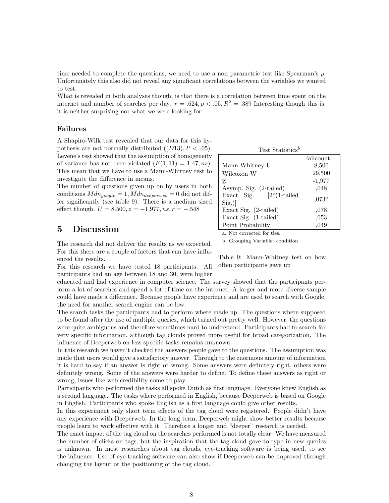time needed to complete the questions, we need to use a non parametric test like Spearman's  $\rho$ . Unfortunately this also did not reveal any significant correlations between the variables we wanted to test.

What is revealed in both analyses though, is that there is a correlation between time spent on the internet and number of searches per day.  $r = .624, p < .05, R^2 = .389$  Interesting though this is, it is neither surprising nor what we were looking for.

#### Failures

A Shapiro-Wilk test revealed that our data for this hypothesis are not normally distributed  $((D13), P < .05)$ . Levene's test showed that the assumption of homogeneity of variance has not been violated  $(F(1, 11) = 1.47, ns)$ . This mean that we have to use a Mann-Whitney test to investigate the difference in means.

The number of questions given up on by users in both conditions  $Mdn_{\text{qoogle}} = 1, Mdn_{\text{deeperweb}} = 0$  did not differ significantly (see table 9). There is a medium sized effect though.  $U = 8.500, z = -1.977, ns, r = -.548$ 

## 5 Discussion

The research did not deliver the results as we expected. For this there are a couple of factors that can have influenced the results.

| Mann-Whitney U                     | 8,500    |
|------------------------------------|----------|
| Wilcoxon W                         | 29,500   |
| Z                                  | $-1,977$ |
| Asymp. Sig. (2-tailed)             | .048     |
| Exact Sig. $[2^*(1\text{-tailed}]$ | $,073^a$ |
| $Sig.$ )                           |          |
| Exact Sig. (2-tailed)              | .078     |
| Exact Sig. (1-tailed)              | ,053     |
| Point Probability                  | ,049     |

Test Statistics<sup>b</sup>

failcount

a. Not corrected for ties.

b. Grouping Variable: condition

Table 9: Mann-Whitney test on how often participants gave up

For this research we have tested 18 participants. All participants had an age between 18 and 30, were higher

educated and had experience in computer science. The survey showed that the participants perform a lot of searches and spend a lot of time on the internet. A larger and more diverse sample could have made a difference. Because people have experience and are used to search with Google, the need for another search engine can be low.

The search tasks the participants had to perform where made up. The questions where supposed to be found after the use of multiple queries, which turned out pretty well. However, the questions were quite ambiguous and therefore sometimes hard to understand. Participants had to search for very specific information, although tag clouds proved more useful for broad categorization. The influence of Deeperweb on less specific tasks remains unknown.

In this research we haven't checked the answers people gave to the questions. The assumption was made that users would give a satisfactory answer. Through to the enormous amount of information it is hard to say if an answer is right or wrong. Some answers were definitely right, others were definitely wrong. Some of the answers were harder to define. To define these answers as right or wrong, issues like web credibility come to play.

Participants who performed the tasks all spoke Dutch as first language. Everyone knew English as a second language. The tasks where performed in English, because Deeperweb is based on Google in English. Participants who spoke English as a first language could give other results.

In this experiment only short term effects of the tag cloud were registered. People didn't have any experience with Deeperweb. In the long term, Deeperweb might show better results because people learn to work effective with it. Therefore a longer and "deeper" research is needed.

The exact impact of the tag cloud on the searches performed is not totally clear. We have measured the number of clicks on tags, but the inspiration that the tag cloud gave to type in new queries is unknown. In most researches about tag clouds, eye-tracking software is being used, to see the influence. Use of eye-tracking software can also show if Deeperweb can be improved through changing the layout or the positioning of the tag cloud.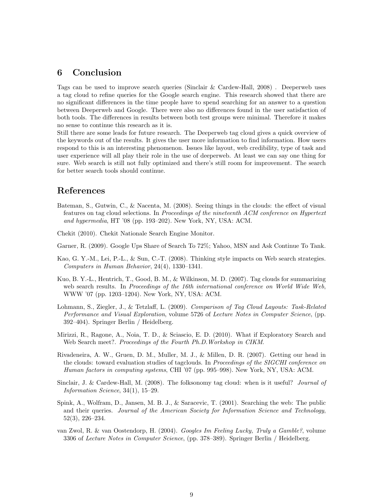## 6 Conclusion

Tags can be used to improve search queries (Sinclair & Cardew-Hall, 2008) . Deeperweb uses a tag cloud to refine queries for the Google search engine. This research showed that there are no significant differences in the time people have to spend searching for an answer to a question between Deeperweb and Google. There were also no differences found in the user satisfaction of both tools. The differences in results between both test groups were minimal. Therefore it makes no sense to continue this research as it is.

Still there are some leads for future research. The Deeperweb tag cloud gives a quick overview of the keywords out of the results. It gives the user more information to find information. How users respond to this is an interesting phenomenon. Issues like layout, web credibility, type of task and user experience will all play their role in the use of deeperweb. At least we can say one thing for sure. Web search is still not fully optimized and there's still room for improvement. The search for better search tools should continue.

## References

- Bateman, S., Gutwin, C., & Nacenta, M. (2008). Seeing things in the clouds: the effect of visual features on tag cloud selections. In Proceedings of the nineteenth ACM conference on Hypertext and hypermedia, HT '08 (pp. 193–202). New York, NY, USA: ACM.
- Chekit (2010). Chekit Nationale Search Engine Monitor.
- Garner, R. (2009). Google Ups Share of Search To 72%; Yahoo, MSN and Ask Continue To Tank.
- Kao, G. Y.-M., Lei, P.-L., & Sun, C.-T. (2008). Thinking style impacts on Web search strategies. Computers in Human Behavior, 24(4), 1330–1341.
- Kuo, B. Y.-L., Hentrich, T., Good, B. M., & Wilkinson, M. D. (2007). Tag clouds for summarizing web search results. In Proceedings of the 16th international conference on World Wide Web, WWW '07 (pp. 1203–1204). New York, NY, USA: ACM.
- Lohmann, S., Ziegler, J., & Tetzlaff, L. (2009). Comparison of Tag Cloud Layouts: Task-Related Performance and Visual Exploration, volume 5726 of Lecture Notes in Computer Science, (pp. 392–404). Springer Berlin / Heidelberg.
- Mirizzi, R., Ragone, A., Noia, T. D., & Sciascio, E. D. (2010). What if Exploratory Search and Web Search meet?. Proceedings of the Fourth Ph.D.Workshop in CIKM.
- Rivadeneira, A. W., Gruen, D. M., Muller, M. J., & Millen, D. R. (2007). Getting our head in the clouds: toward evaluation studies of tagclouds. In *Proceedings of the SIGCHI conference on* Human factors in computing systems, CHI '07 (pp. 995–998). New York, NY, USA: ACM.
- Sinclair, J. & Cardew-Hall, M. (2008). The folksonomy tag cloud: when is it useful? Journal of Information Science, 34(1), 15–29.
- Spink, A., Wolfram, D., Jansen, M. B. J., & Saracevic, T. (2001). Searching the web: The public and their queries. Journal of the American Society for Information Science and Technology, 52(3), 226–234.
- van Zwol, R. & van Oostendorp, H. (2004). Googles Im Feeling Lucky, Truly a Gamble?, volume 3306 of Lecture Notes in Computer Science, (pp. 378–389). Springer Berlin / Heidelberg.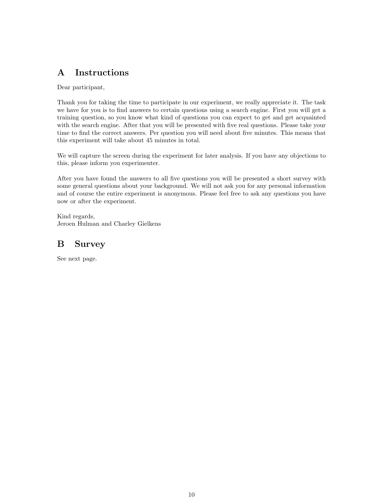# A Instructions

Dear participant,

Thank you for taking the time to participate in our experiment, we really appreciate it. The task we have for you is to find answers to certain questions using a search engine. First you will get a training question, so you know what kind of questions you can expect to get and get acquainted with the search engine. After that you will be presented with five real questions. Please take your time to find the correct answers. Per question you will need about five minutes. This means that this experiment will take about 45 minutes in total.

We will capture the screen during the experiment for later analysis. If you have any objections to this, please inform you experimenter.

After you have found the answers to all five questions you will be presented a short survey with some general questions about your background. We will not ask you for any personal information and of course the entire experiment is anonymous. Please feel free to ask any questions you have now or after the experiment.

Kind regards, Jeroen Hulman and Charley Gielkens

# B Survey

See next page.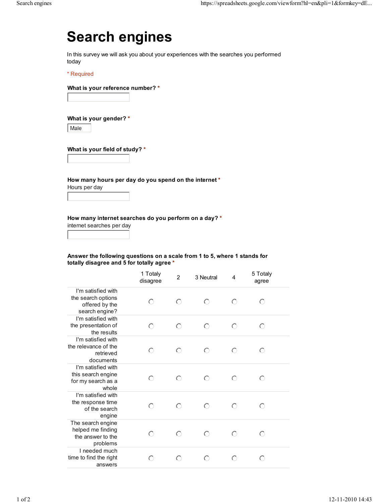# Search engines

In this survey we will ask you about your experiences with the searches you performed today

\* Required

What is your reference number? \*

What is your gender? \*

Male

What is your field of study? \*

How many hours per day do you spend on the internet \*

Hours per day

How many internet searches do you perform on a day? \* internet searches per day

#### Answer the following questions on a scale from 1 to 5, where 1 stands for totally disagree and 5 for totally agree \*

|                                                                              | 1 Totaly<br>disagree | $\overline{2}$ | 3 Neutral | 4 | 5 Totaly<br>agree |
|------------------------------------------------------------------------------|----------------------|----------------|-----------|---|-------------------|
| I'm satisfied with<br>the search options<br>offered by the<br>search engine? | ∩                    | ∩              | ∩         | ◠ | €                 |
| I'm satisfied with<br>the presentation of<br>the results                     | ∩                    | ◠              | О         | O | ∩                 |
| I'm satisfied with<br>the relevance of the<br>retrieved<br>documents         | O                    | €              | O         | O | ∩                 |
| I'm satisfied with<br>this search engine<br>for my search as a<br>whole      | O                    | O              | О         | O | ∩                 |
| I'm satisfied with<br>the response time<br>of the search<br>engine           | Ο                    | Ο              | О         | O | ∩                 |
| The search engine<br>helped me finding<br>the answer to the<br>problems      | ∩                    | ∩              | ∩         | O | ∩                 |
| I needed much<br>time to find the right<br>answers                           |                      |                |           |   |                   |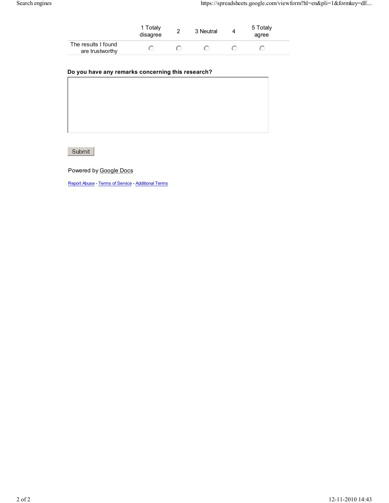|                                        | 1 Totaly<br>disagree | 3 Neutral | 5 Totaly<br>agree |  |
|----------------------------------------|----------------------|-----------|-------------------|--|
| The results I found<br>are trustworthy |                      |           |                   |  |

#### Do you have any remarks concerning this research?

## Submit

Powered by Google Docs

Report Abuse - Terms of Service - Additional Terms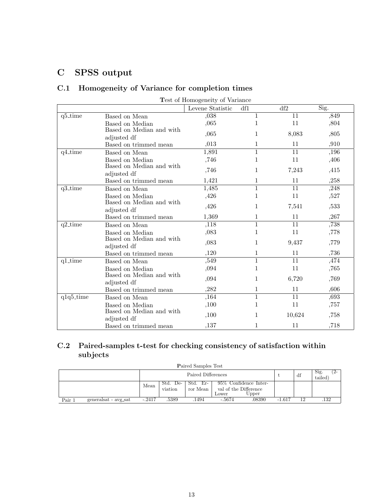# C SPSS output

## C.1 Homogeneity of Variance for completion times

| Test of Homogeneity of Variance |                                         |                  |                |                 |      |  |  |
|---------------------------------|-----------------------------------------|------------------|----------------|-----------------|------|--|--|
|                                 |                                         | Levene Statistic | df1            | df2             | Sig. |  |  |
| $q5_time$                       | Based on Mean                           | ,038             | $\mathbf{1}$   | $\overline{11}$ | ,849 |  |  |
|                                 | Based on Median                         | ,065             | $\mathbf{1}$   | 11              | ,804 |  |  |
|                                 | Based on Median and with                | ,065             | 1              | 8,083           | ,805 |  |  |
|                                 | adjusted df                             |                  |                |                 |      |  |  |
|                                 | Based on trimmed mean                   | ,013             | 1              | 11              | ,910 |  |  |
| $q4_time$                       | Based on Mean                           | 1,891            | 1              | 11              | ,196 |  |  |
|                                 | Based on Median                         | ,746             | $\mathbf{1}$   | 11              | ,406 |  |  |
|                                 | Based on Median and with<br>adjusted df | ,746             | 1              | 7,243           | ,415 |  |  |
|                                 | Based on trimmed mean                   | 1,421            | $\mathbf{1}$   | 11              | ,258 |  |  |
| q3_time                         | Based on Mean                           | 1,485            | $\mathbf{1}$   | 11              | ,248 |  |  |
|                                 | Based on Median                         | ,426             | 1              | 11              | ,527 |  |  |
|                                 | Based on Median and with                |                  |                |                 |      |  |  |
|                                 | adjusted df                             | ,426             | 1              | 7,541           | ,533 |  |  |
|                                 | Based on trimmed mean                   | 1,369            | 1              | 11              | ,267 |  |  |
| $q2_time$                       | Based on Mean                           | ,118             | $\overline{1}$ | $\overline{11}$ | ,738 |  |  |
|                                 | Based on Median                         | ,083             | 1              | 11              | ,778 |  |  |
|                                 | Based on Median and with<br>adjusted df | ,083             | 1              | 9,437           | ,779 |  |  |
|                                 | Based on trimmed mean                   | ,120             | $\mathbf{1}$   | 11              | ,736 |  |  |
| q1_time                         | Based on Mean                           | ,549             | $\mathbf{1}$   | 11              | ,474 |  |  |
|                                 | Based on Median                         | ,094             | $\mathbf{1}$   | 11              | ,765 |  |  |
|                                 | Based on Median and with                | ,094             | 1              | 6,720           | ,769 |  |  |
|                                 | adjusted df                             |                  |                |                 |      |  |  |
|                                 | Based on trimmed mean                   | ,282             | 1              | 11              | ,606 |  |  |
| q1q5_time                       | Based on Mean                           | ,164             | $\mathbf{1}$   | 11              | ,693 |  |  |
|                                 | Based on Median                         | ,100             | 1              | 11              | ,757 |  |  |
|                                 | Based on Median and with<br>adjusted df | ,100             | 1              | 10,624          | ,758 |  |  |
|                                 | Based on trimmed mean                   | ,137             | 1              | 11              | ,718 |  |  |

## C.2 Paired-samples t-test for checking consistency of satisfaction within subjects

| <b>Paired Samples Test</b>     |                    |                     |                      |                                |                                 |          |                         |      |
|--------------------------------|--------------------|---------------------|----------------------|--------------------------------|---------------------------------|----------|-------------------------|------|
|                                | Paired Differences |                     |                      |                                |                                 | df       | Sig.<br>$2 -$<br>tailed |      |
|                                | Mean               | Std. De-<br>viation | Std. Er-<br>ror Mean | val of the Difference<br>Lower | 95\% Confidence Inter-<br>Upper |          |                         |      |
| generalsat - avg_sat<br>Pair 1 | $-.2417$           | .5389               | 1494                 | $-.5674$                       | .08390                          | $-1.617$ | 12                      | .132 |